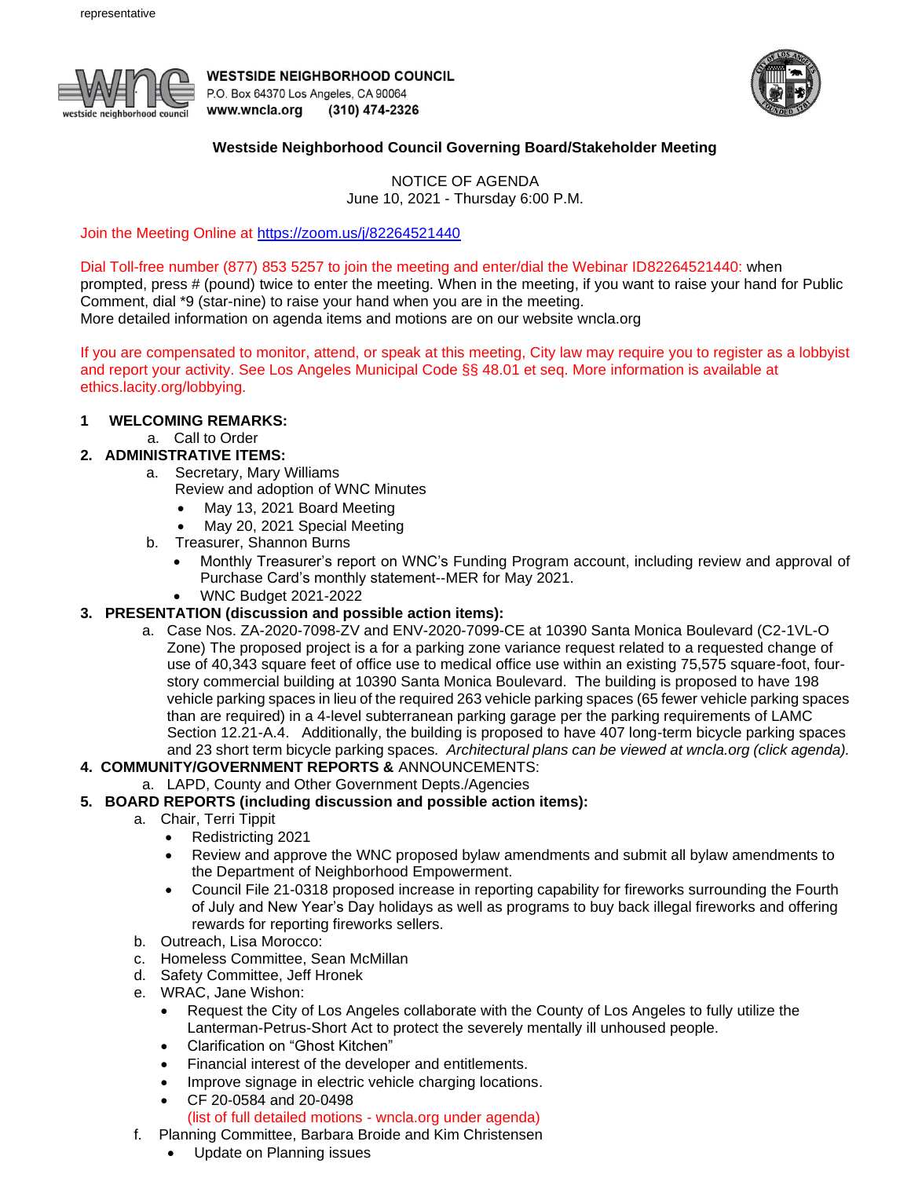

**WESTSIDE NEIGHBORHOOD COUNCIL** P.O. Box 64370 Los Angeles, CA 90064 www.wncla.org (310) 474-2326



## **Westside Neighborhood Council Governing Board/Stakeholder Meeting**

NOTICE OF AGENDA June 10, 2021 - Thursday 6:00 P.M.

Join the Meeting Online at <https://zoom.us/j/82264521440>

### Dial Toll-free number (877) 853 5257 to join the meeting and enter/dial the Webinar ID82264521440: when

prompted, press # (pound) twice to enter the meeting. When in the meeting, if you want to raise your hand for Public Comment, dial \*9 (star-nine) to raise your hand when you are in the meeting.

More detailed information on agenda items and motions are on our website wncla.org

If you are compensated to monitor, attend, or speak at this meeting, City law may require you to register as a lobbyist and report your activity. See Los Angeles Municipal Code §§ 48.01 et seq. More information is available at ethics.lacity.org/lobbying.

### **1 WELCOMING REMARKS:**

a. Call to Order

### **2. ADMINISTRATIVE ITEMS:**

- a. Secretary, Mary Williams
	- Review and adoption of WNC Minutes
		- May 13, 2021 Board Meeting
		- May 20, 2021 Special Meeting
- b. Treasurer, Shannon Burns
	- Monthly Treasurer's report on WNC's Funding Program account, including review and approval of Purchase Card's monthly statement--MER for May 2021.
	- WNC Budget 2021-2022

### **3. PRESENTATION (discussion and possible action items):**

 a. Case Nos. ZA-2020-7098-ZV and ENV-2020-7099-CE at 10390 Santa Monica Boulevard (C2-1VL-O Zone) The proposed project is a for a parking zone variance request related to a requested change of use of 40,343 square feet of office use to medical office use within an existing 75,575 square-foot, four story commercial building at 10390 Santa Monica Boulevard. The building is proposed to have 198 vehicle parking spaces in lieu of the required 263 vehicle parking spaces (65 fewer vehicle parking spaces than are required) in a 4-level subterranean parking garage per the parking requirements of LAMC Section 12.21-A.4. Additionally, the building is proposed to have 407 long-term bicycle parking spaces and 23 short term bicycle parking spaces*. Architectural plans can be viewed at wncla.org (click agenda).*

# **4. COMMUNITY/GOVERNMENT REPORTS &** ANNOUNCEMENTS:

a. LAPD, County and Other Government Depts./Agencies

#### **5. BOARD REPORTS (including discussion and possible action items):**

- a. Chair, Terri Tippit
	- Redistricting 2021
	- Review and approve the WNC proposed bylaw amendments and submit all bylaw amendments to the Department of Neighborhood Empowerment.
	- Council File 21-0318 proposed increase in reporting capability for fireworks surrounding the Fourth of July and New Year's Day holidays as well as programs to buy back illegal fireworks and offering rewards for reporting fireworks sellers.
- b. Outreach, Lisa Morocco:
- c. Homeless Committee, Sean McMillan
- d. Safety Committee, Jeff Hronek
- e. WRAC, Jane Wishon:
	- Request the City of Los Angeles collaborate with the County of Los Angeles to fully utilize the Lanterman-Petrus-Short Act to protect the severely mentally ill unhoused people.
	- Clarification on "Ghost Kitchen"
	- Financial interest of the developer and entitlements.
	- Improve signage in electric vehicle charging locations.
	- CF [20-0584 and 20-0498](http://cityclerk.lacity.org/lacityclerkconnect/index.cfm?fa=ccfi.viewrecord&cfnumber=20-0584%20and%2020-0498) (list of full detailed motions - wncla.org under agenda)
- f. Planning Committee, Barbara Broide and Kim Christensen
	- Update on Planning issues